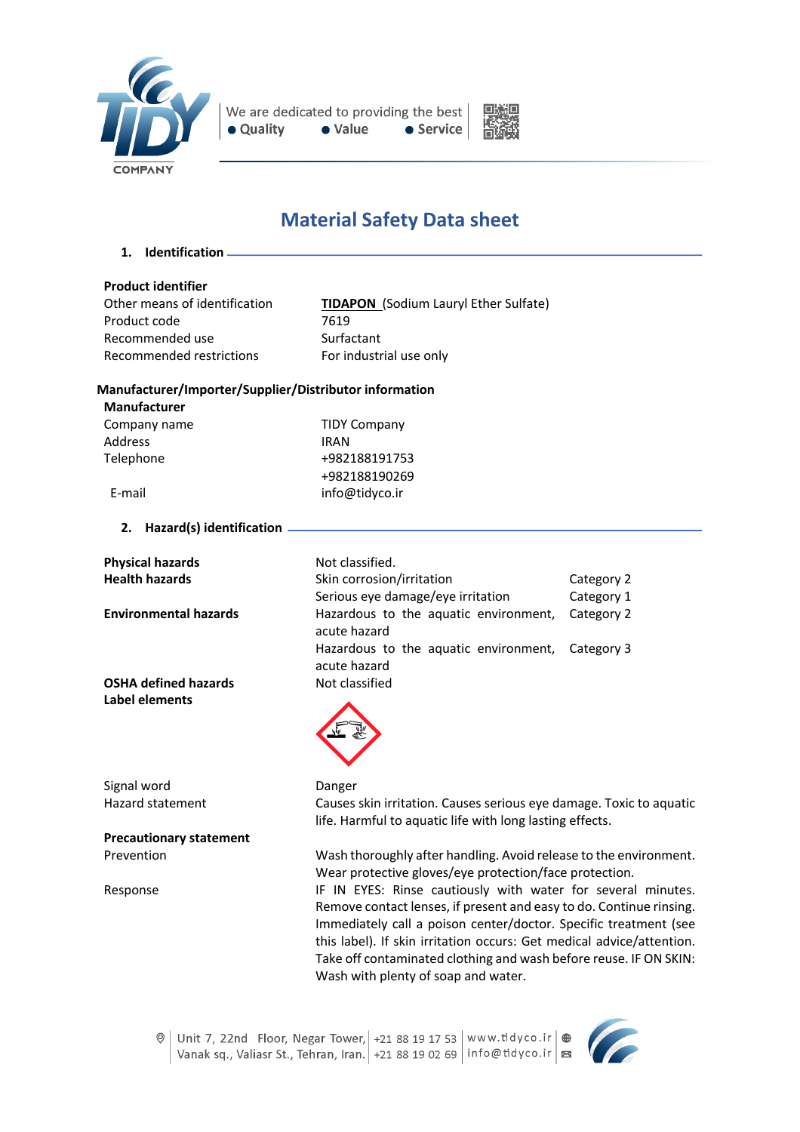



# **Material Safety Data sheet**

**1. Identification**

### **Product identifier**

Product code 7619 Recommended use Surfactant Recommended restrictions For industrial use only

Other means of identification **TIDAPON** (Sodium Lauryl Ether Sulfate)

# **Manufacturer/Importer/Supplier/Distributor information**

| <b>Manufacturer</b> |                     |
|---------------------|---------------------|
| Company name        | <b>TIDY Company</b> |
| <b>Address</b>      | <b>IRAN</b>         |
| Telephone           | +982188191753       |
|                     | +982188190269       |
| E-mail              | info@tidyco.ir      |

**2. Hazard(s) identification**

| <b>Physical hazards</b>        | Not classified.                                                                                                                                                                                                                                                                                                              |            |
|--------------------------------|------------------------------------------------------------------------------------------------------------------------------------------------------------------------------------------------------------------------------------------------------------------------------------------------------------------------------|------------|
| <b>Health hazards</b>          | Skin corrosion/irritation                                                                                                                                                                                                                                                                                                    | Category 2 |
|                                | Serious eye damage/eye irritation                                                                                                                                                                                                                                                                                            | Category 1 |
| <b>Environmental hazards</b>   | Hazardous to the aquatic environment,<br>acute hazard                                                                                                                                                                                                                                                                        | Category 2 |
|                                | Hazardous to the aquatic environment,<br>acute hazard                                                                                                                                                                                                                                                                        | Category 3 |
| <b>OSHA defined hazards</b>    | Not classified                                                                                                                                                                                                                                                                                                               |            |
| Label elements                 |                                                                                                                                                                                                                                                                                                                              |            |
| Signal word                    | Danger                                                                                                                                                                                                                                                                                                                       |            |
| <b>Hazard statement</b>        | Causes skin irritation. Causes serious eye damage. Toxic to aquatic<br>life. Harmful to aquatic life with long lasting effects.                                                                                                                                                                                              |            |
| <b>Precautionary statement</b> |                                                                                                                                                                                                                                                                                                                              |            |
| Prevention                     | Wash thoroughly after handling. Avoid release to the environment.<br>Wear protective gloves/eye protection/face protection.                                                                                                                                                                                                  |            |
| Response                       | IF IN EYES: Rinse cautiously with water for several minutes.                                                                                                                                                                                                                                                                 |            |
|                                | Remove contact lenses, if present and easy to do. Continue rinsing.<br>Immediately call a poison center/doctor. Specific treatment (see<br>this label). If skin irritation occurs: Get medical advice/attention.<br>Take off contaminated clothing and wash before reuse. IF ON SKIN:<br>Wash with plenty of soap and water. |            |

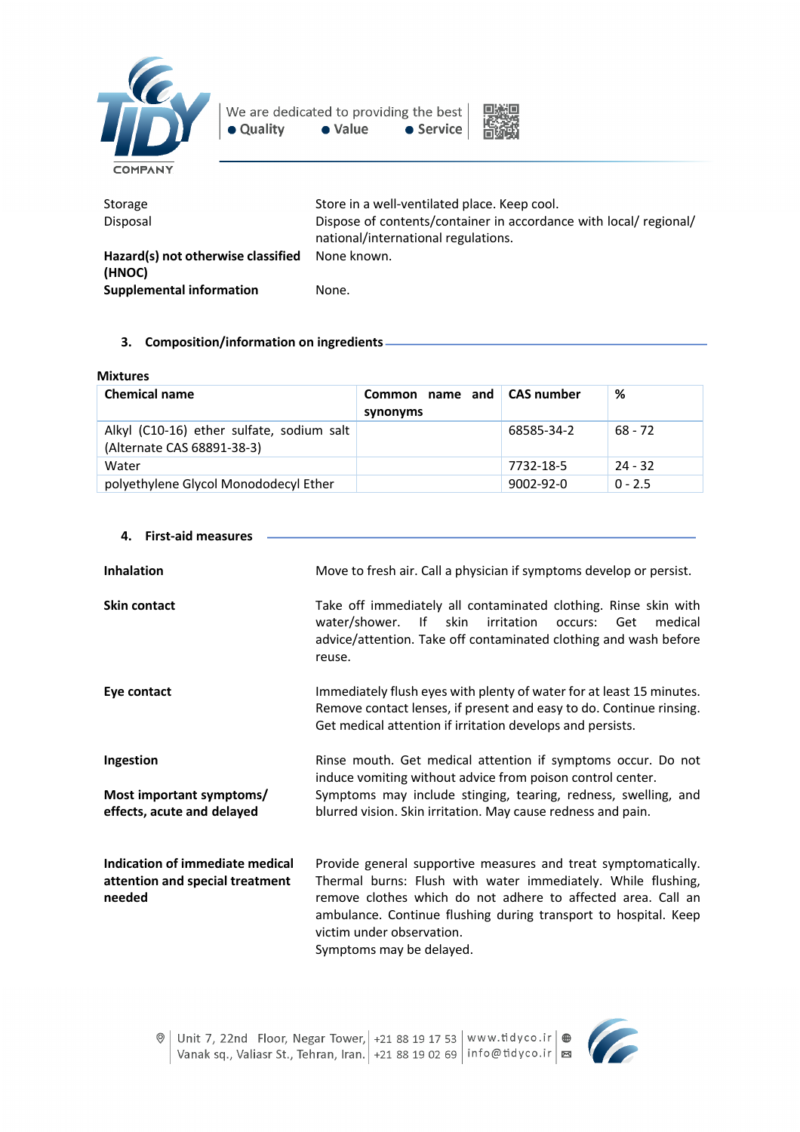



| Storage<br>Disposal                          | Store in a well-ventilated place. Keep cool.<br>Dispose of contents/container in accordance with local/ regional/<br>national/international regulations. |
|----------------------------------------------|----------------------------------------------------------------------------------------------------------------------------------------------------------|
| Hazard(s) not otherwise classified<br>(HNOC) | None known.                                                                                                                                              |
| <b>Supplemental information</b>              | None.                                                                                                                                                    |

# **3. Composition/information on ingredients**

#### **Mixtures**

**4. First-aid measures**

| <b>Chemical name</b>                                                    | Common name and CAS number<br>synonyms |                 | %         |
|-------------------------------------------------------------------------|----------------------------------------|-----------------|-----------|
| Alkyl (C10-16) ether sulfate, sodium salt<br>(Alternate CAS 68891-38-3) |                                        | 68585-34-2      | $68 - 72$ |
| Water                                                                   |                                        | 7732-18-5       | $24 - 32$ |
| polyethylene Glycol Monododecyl Ether                                   |                                        | $9002 - 92 - 0$ | $0 - 2.5$ |

| <b>Inhalation</b>                                                            | Move to fresh air. Call a physician if symptoms develop or persist.                                                                                                                                                                                                                                                        |
|------------------------------------------------------------------------------|----------------------------------------------------------------------------------------------------------------------------------------------------------------------------------------------------------------------------------------------------------------------------------------------------------------------------|
| <b>Skin contact</b>                                                          | Take off immediately all contaminated clothing. Rinse skin with<br>$\mathsf{If}$<br>water/shower.<br>skin<br>irritation<br>medical<br>occurs:<br>Get<br>advice/attention. Take off contaminated clothing and wash before<br>reuse.                                                                                         |
| Eye contact                                                                  | Immediately flush eyes with plenty of water for at least 15 minutes.<br>Remove contact lenses, if present and easy to do. Continue rinsing.<br>Get medical attention if irritation develops and persists.                                                                                                                  |
| Ingestion<br>Most important symptoms/<br>effects, acute and delayed          | Rinse mouth. Get medical attention if symptoms occur. Do not<br>induce vomiting without advice from poison control center.<br>Symptoms may include stinging, tearing, redness, swelling, and<br>blurred vision. Skin irritation. May cause redness and pain.                                                               |
| Indication of immediate medical<br>attention and special treatment<br>needed | Provide general supportive measures and treat symptomatically.<br>Thermal burns: Flush with water immediately. While flushing,<br>remove clothes which do not adhere to affected area. Call an<br>ambulance. Continue flushing during transport to hospital. Keep<br>victim under observation.<br>Symptoms may be delayed. |

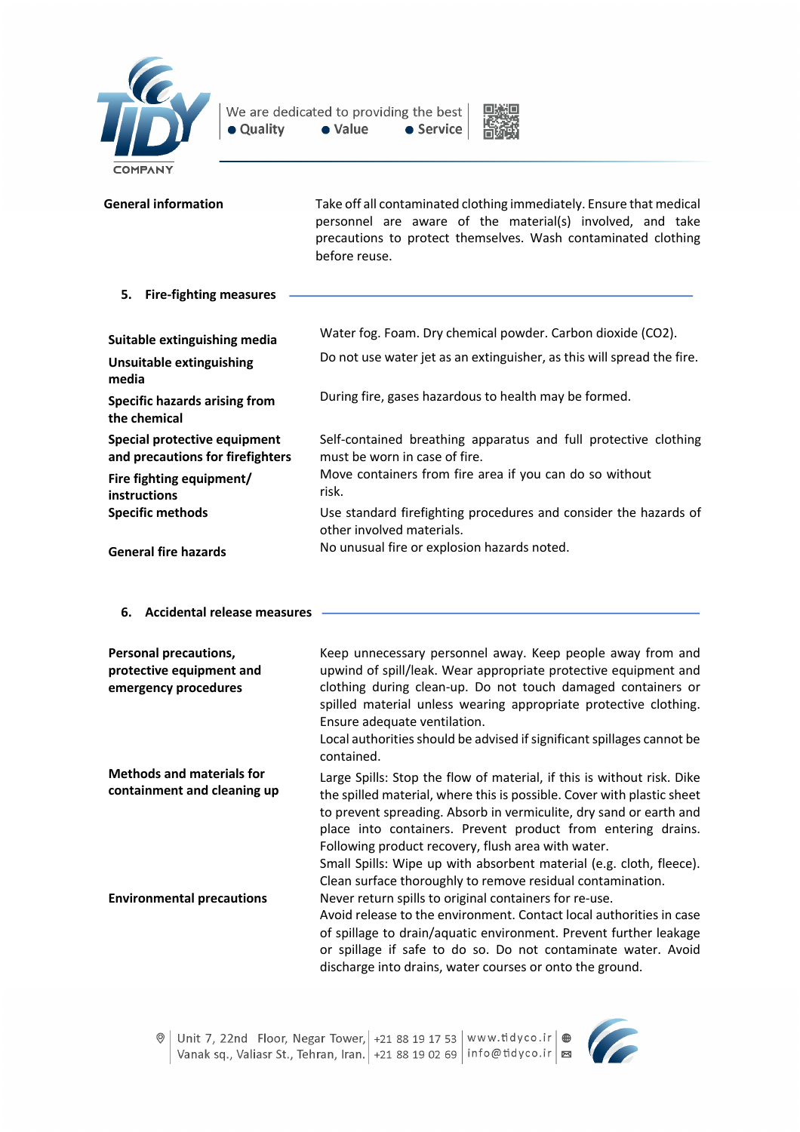



| <b>General information</b>                                                                                   | Take off all contaminated clothing immediately. Ensure that medical<br>personnel are aware of the material(s) involved, and take<br>precautions to protect themselves. Wash contaminated clothing<br>before reuse. |  |
|--------------------------------------------------------------------------------------------------------------|--------------------------------------------------------------------------------------------------------------------------------------------------------------------------------------------------------------------|--|
| 5.<br><b>Fire-fighting measures</b>                                                                          |                                                                                                                                                                                                                    |  |
| Suitable extinguishing media<br><b>Unsuitable extinguishing</b><br>media                                     | Water fog. Foam. Dry chemical powder. Carbon dioxide (CO2).<br>Do not use water jet as an extinguisher, as this will spread the fire.                                                                              |  |
| <b>Specific hazards arising from</b><br>the chemical                                                         | During fire, gases hazardous to health may be formed.                                                                                                                                                              |  |
| Special protective equipment<br>and precautions for firefighters<br>Fire fighting equipment/<br>instructions | Self-contained breathing apparatus and full protective clothing<br>must be worn in case of fire.<br>Move containers from fire area if you can do so without<br>risk.                                               |  |
| <b>Specific methods</b><br><b>General fire hazards</b>                                                       | Use standard firefighting procedures and consider the hazards of<br>other involved materials.<br>No unusual fire or explosion hazards noted.                                                                       |  |

**6. Accidental release measures**

| Personal precautions,<br>protective equipment and<br>emergency procedures | Keep unnecessary personnel away. Keep people away from and<br>upwind of spill/leak. Wear appropriate protective equipment and<br>clothing during clean-up. Do not touch damaged containers or<br>spilled material unless wearing appropriate protective clothing.<br>Ensure adequate ventilation.<br>Local authorities should be advised if significant spillages cannot be<br>contained.                                                                                         |
|---------------------------------------------------------------------------|-----------------------------------------------------------------------------------------------------------------------------------------------------------------------------------------------------------------------------------------------------------------------------------------------------------------------------------------------------------------------------------------------------------------------------------------------------------------------------------|
| <b>Methods and materials for</b><br>containment and cleaning up           | Large Spills: Stop the flow of material, if this is without risk. Dike<br>the spilled material, where this is possible. Cover with plastic sheet<br>to prevent spreading. Absorb in vermiculite, dry sand or earth and<br>place into containers. Prevent product from entering drains.<br>Following product recovery, flush area with water.<br>Small Spills: Wipe up with absorbent material (e.g. cloth, fleece).<br>Clean surface thoroughly to remove residual contamination. |
| <b>Environmental precautions</b>                                          | Never return spills to original containers for re-use.<br>Avoid release to the environment. Contact local authorities in case<br>of spillage to drain/aquatic environment. Prevent further leakage<br>or spillage if safe to do so. Do not contaminate water. Avoid<br>discharge into drains, water courses or onto the ground.                                                                                                                                                   |

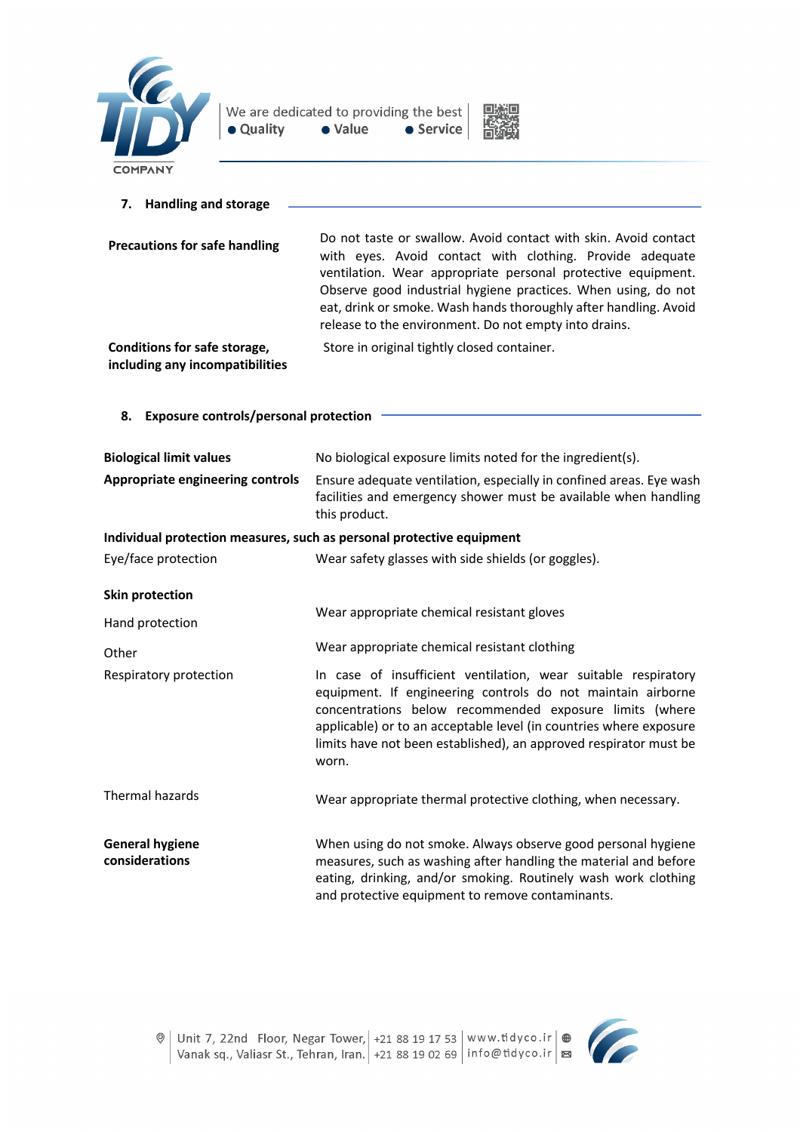



| <b>Handling and storage</b><br>7.                               |                                                                                                                                                                                                                                                                                                                                                                                           |
|-----------------------------------------------------------------|-------------------------------------------------------------------------------------------------------------------------------------------------------------------------------------------------------------------------------------------------------------------------------------------------------------------------------------------------------------------------------------------|
| <b>Precautions for safe handling</b>                            | Do not taste or swallow. Avoid contact with skin. Avoid contact<br>with eyes. Avoid contact with clothing. Provide adequate<br>ventilation. Wear appropriate personal protective equipment.<br>Observe good industrial hygiene practices. When using, do not<br>eat, drink or smoke. Wash hands thoroughly after handling. Avoid<br>release to the environment. Do not empty into drains. |
| Conditions for safe storage,<br>including any incompatibilities | Store in original tightly closed container.                                                                                                                                                                                                                                                                                                                                               |
| 8.<br><b>Exposure controls/personal protection</b>              |                                                                                                                                                                                                                                                                                                                                                                                           |
| <b>Biological limit values</b>                                  | No biological exposure limits noted for the ingredient(s).                                                                                                                                                                                                                                                                                                                                |
| Appropriate engineering controls                                | Ensure adequate ventilation, especially in confined areas. Eye wash<br>facilities and emergency shower must be available when handling<br>this product.                                                                                                                                                                                                                                   |
|                                                                 | Individual protection measures, such as personal protective equipment                                                                                                                                                                                                                                                                                                                     |
| Eye/face protection                                             | Wear safety glasses with side shields (or goggles).                                                                                                                                                                                                                                                                                                                                       |
| <b>Skin protection</b>                                          |                                                                                                                                                                                                                                                                                                                                                                                           |
| Hand protection                                                 | Wear appropriate chemical resistant gloves                                                                                                                                                                                                                                                                                                                                                |
| Other                                                           | Wear appropriate chemical resistant clothing                                                                                                                                                                                                                                                                                                                                              |
| Respiratory protection                                          | In case of insufficient ventilation, wear suitable respiratory<br>equipment. If engineering controls do not maintain airborne<br>concentrations below recommended exposure limits (where<br>applicable) or to an acceptable level (in countries where exposure<br>limits have not been established), an approved respirator must be<br>worn.                                              |
| Thermal hazards                                                 | Wear appropriate thermal protective clothing, when necessary.                                                                                                                                                                                                                                                                                                                             |
| <b>General hygiene</b><br>considerations                        | When using do not smoke. Always observe good personal hygiene<br>measures, such as washing after handling the material and before<br>eating, drinking, and/or smoking. Routinely wash work clothing<br>and protective equipment to remove contaminants.                                                                                                                                   |

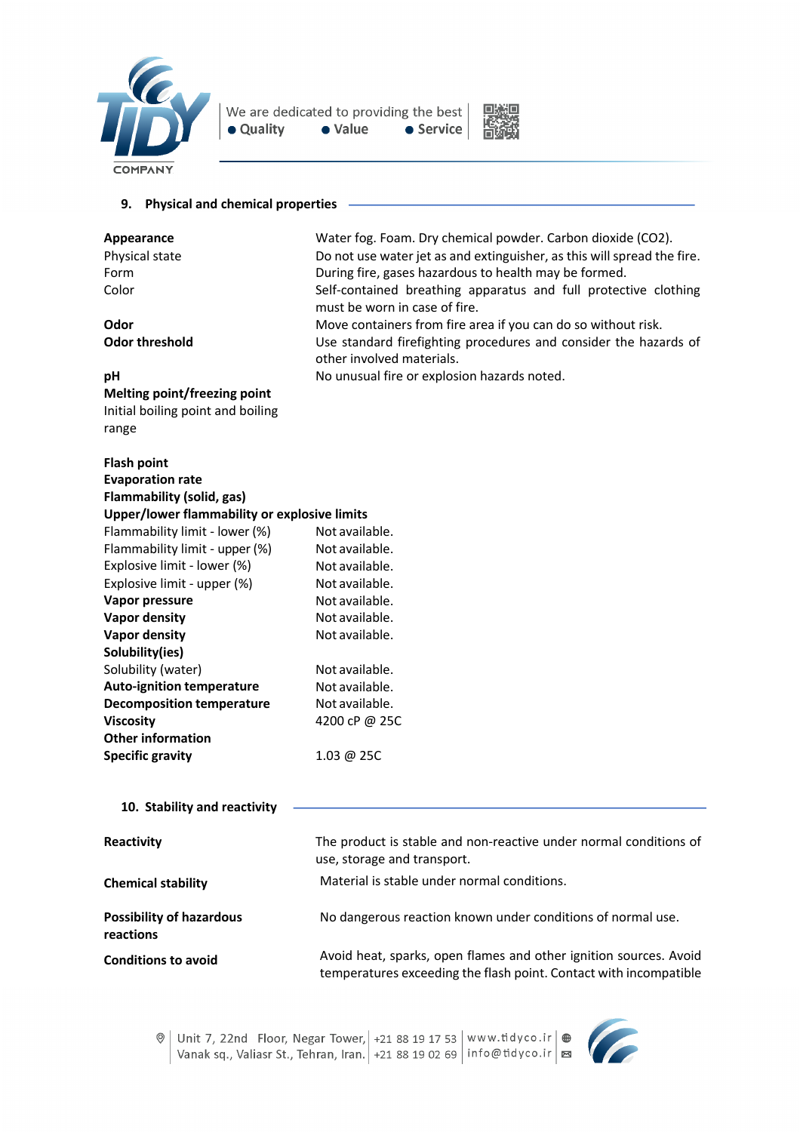



# **9. Physical and chemical properties**

| <b>Appearance</b>                            | Water fog. Foam. Dry chemical powder. Carbon dioxide (CO2).<br>Do not use water jet as and extinguisher, as this will spread the fire.<br>During fire, gases hazardous to health may be formed. |  |  |
|----------------------------------------------|-------------------------------------------------------------------------------------------------------------------------------------------------------------------------------------------------|--|--|
| Physical state                               |                                                                                                                                                                                                 |  |  |
| Form                                         |                                                                                                                                                                                                 |  |  |
| Color                                        | Self-contained breathing apparatus and full protective clothing                                                                                                                                 |  |  |
|                                              | must be worn in case of fire.                                                                                                                                                                   |  |  |
| Odor                                         | Move containers from fire area if you can do so without risk.                                                                                                                                   |  |  |
| <b>Odor threshold</b>                        | Use standard firefighting procedures and consider the hazards of                                                                                                                                |  |  |
|                                              | other involved materials.                                                                                                                                                                       |  |  |
| pН                                           | No unusual fire or explosion hazards noted.                                                                                                                                                     |  |  |
| <b>Melting point/freezing point</b>          |                                                                                                                                                                                                 |  |  |
| Initial boiling point and boiling            |                                                                                                                                                                                                 |  |  |
| range                                        |                                                                                                                                                                                                 |  |  |
| <b>Flash point</b>                           |                                                                                                                                                                                                 |  |  |
| <b>Evaporation rate</b>                      |                                                                                                                                                                                                 |  |  |
| Flammability (solid, gas)                    |                                                                                                                                                                                                 |  |  |
| Upper/lower flammability or explosive limits |                                                                                                                                                                                                 |  |  |
| Flammability limit - lower (%)               | Not available.                                                                                                                                                                                  |  |  |
| Flammability limit - upper (%)               | Not available.                                                                                                                                                                                  |  |  |
| Explosive limit - lower (%)                  | Not available.                                                                                                                                                                                  |  |  |
| Explosive limit - upper (%)                  | Not available.                                                                                                                                                                                  |  |  |
| Vapor pressure                               | Not available.                                                                                                                                                                                  |  |  |
| <b>Vapor density</b>                         | Not available.                                                                                                                                                                                  |  |  |
| <b>Vapor density</b>                         | Not available.                                                                                                                                                                                  |  |  |
| Solubility(ies)                              |                                                                                                                                                                                                 |  |  |
| Solubility (water)                           | Not available.                                                                                                                                                                                  |  |  |
| <b>Auto-ignition temperature</b>             | Not available.                                                                                                                                                                                  |  |  |
| <b>Decomposition temperature</b>             | Not available.                                                                                                                                                                                  |  |  |
| <b>Viscosity</b>                             | 4200 cP @ 25C                                                                                                                                                                                   |  |  |
| <b>Other information</b>                     |                                                                                                                                                                                                 |  |  |
| <b>Specific gravity</b>                      | 1.03 @ 25C                                                                                                                                                                                      |  |  |
|                                              |                                                                                                                                                                                                 |  |  |
| 10. Stability and reactivity                 |                                                                                                                                                                                                 |  |  |
| Reactivity                                   | The product is stable and non-reactive under normal conditions of                                                                                                                               |  |  |
|                                              | use, storage and transport.                                                                                                                                                                     |  |  |
| <b>Chemical stability</b>                    | Material is stable under normal conditions.                                                                                                                                                     |  |  |
| <b>Possibility of hazardous</b><br>reactions | No dangerous reaction known under conditions of normal use.                                                                                                                                     |  |  |
| <b>Conditions to avoid</b>                   | Avoid heat, sparks, open flames and other ignition sources. Avoid<br>temperatures exceeding the flash point. Contact with incompatible                                                          |  |  |

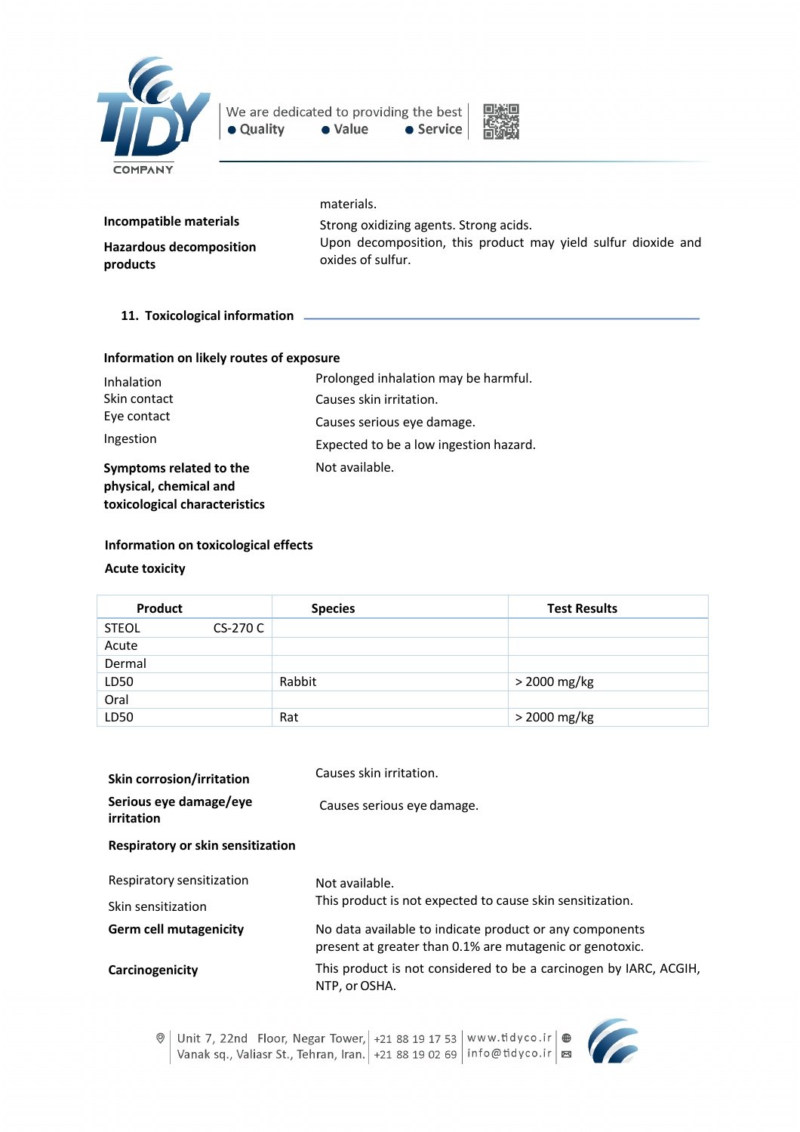



|                                            | materials.                                                                         |
|--------------------------------------------|------------------------------------------------------------------------------------|
| Incompatible materials                     | Strong oxidizing agents. Strong acids.                                             |
| <b>Hazardous decomposition</b><br>products | Upon decomposition, this product may yield sulfur dioxide and<br>oxides of sulfur. |

**11. Toxicological information** 

| Information on likely routes of exposure |  |  |  |
|------------------------------------------|--|--|--|
|------------------------------------------|--|--|--|

| Inhalation                                                                         | Prolonged inhalation may be harmful.   |
|------------------------------------------------------------------------------------|----------------------------------------|
| Skin contact                                                                       | Causes skin irritation.                |
| Eye contact                                                                        | Causes serious eye damage.             |
| Ingestion                                                                          | Expected to be a low ingestion hazard. |
| Symptoms related to the<br>physical, chemical and<br>toxicological characteristics | Not available.                         |

# **Information on toxicological effects**

#### **Acute toxicity**

| Product      |          | <b>Species</b> | <b>Test Results</b> |
|--------------|----------|----------------|---------------------|
| <b>STEOL</b> | CS-270 C |                |                     |
| Acute        |          |                |                     |
| Dermal       |          |                |                     |
| LD50         |          | Rabbit         | > 2000 mg/kg        |
| Oral         |          |                |                     |
| LD50         |          | Rat            | > 2000 mg/kg        |

| <b>Skin corrosion/irritation</b>     | Causes skin irritation.                                                                                             |
|--------------------------------------|---------------------------------------------------------------------------------------------------------------------|
| Serious eye damage/eye<br>irritation | Causes serious eye damage.                                                                                          |
| Respiratory or skin sensitization    |                                                                                                                     |
| Respiratory sensitization            | Not available.                                                                                                      |
| Skin sensitization                   | This product is not expected to cause skin sensitization.                                                           |
| <b>Germ cell mutagenicity</b>        | No data available to indicate product or any components<br>present at greater than 0.1% are mutagenic or genotoxic. |
| Carcinogenicity                      | This product is not considered to be a carcinogen by IARC, ACGIH,<br>NTP, or OSHA.                                  |

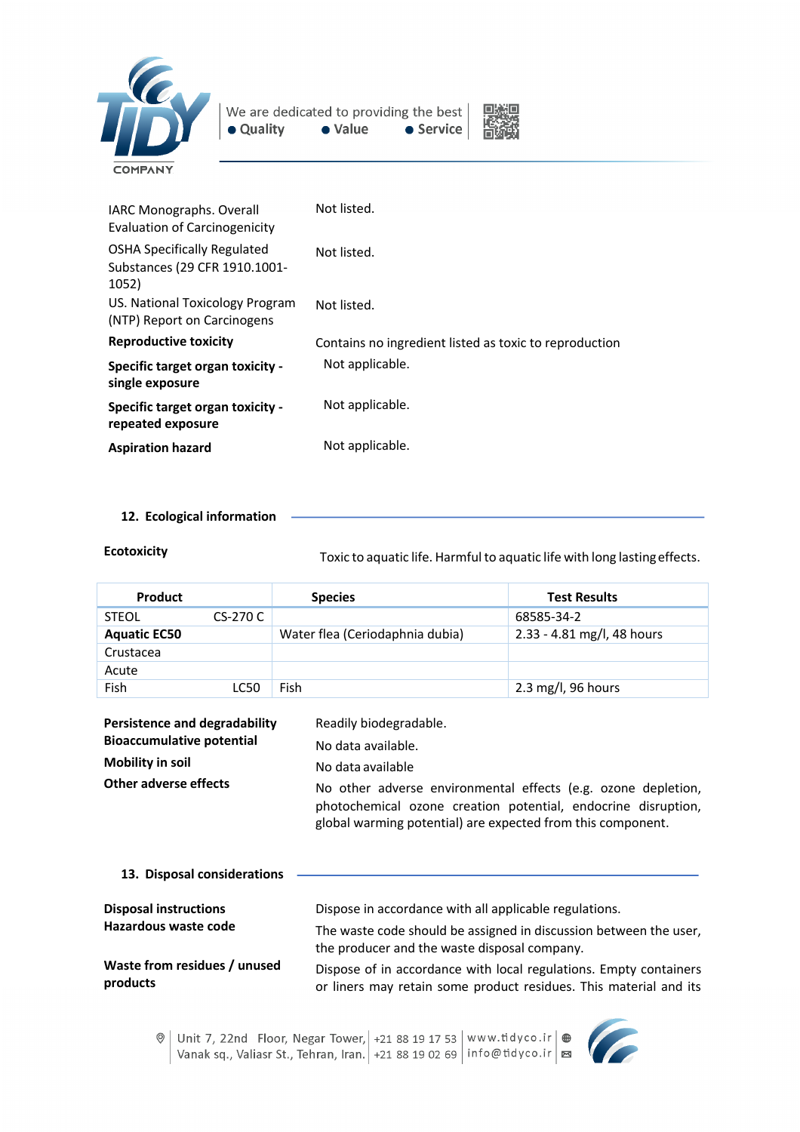



| <b>OSHA Specifically Regulated</b><br>Not listed.<br>Substances (29 CFR 1910.1001-<br>1052) | <b>IARC Monographs. Overall</b><br>Evaluation of Carcinogenicity | Not listed. |
|---------------------------------------------------------------------------------------------|------------------------------------------------------------------|-------------|
|                                                                                             |                                                                  |             |
| (NTP) Report on Carcinogens                                                                 | US. National Toxicology Program                                  | Not listed. |
| <b>Reproductive toxicity</b><br>Contains no ingredient listed as toxic to reproduction      |                                                                  |             |
| Not applicable.<br>Specific target organ toxicity -<br>single exposure                      |                                                                  |             |
| Not applicable.<br>Specific target organ toxicity -<br>repeated exposure                    |                                                                  |             |
| Not applicable.<br><b>Aspiration hazard</b>                                                 |                                                                  |             |

**12. Ecological information**

**Ecotoxicity** Toxic to aquatic life. Harmful to aquatic life with long lastingeffects.

| <b>Product</b>      |          | <b>Species</b>                  | <b>Test Results</b>        |
|---------------------|----------|---------------------------------|----------------------------|
| <b>STEOL</b>        | CS-270 C |                                 | 68585-34-2                 |
| <b>Aquatic EC50</b> |          | Water flea (Ceriodaphnia dubia) | 2.33 - 4.81 mg/l, 48 hours |
| Crustacea           |          |                                 |                            |
| Acute               |          |                                 |                            |
| Fish                | LC50     | Fish                            | 2.3 mg/l, 96 hours         |

| <b>Persistence and degradability</b><br><b>Bioaccumulative potential</b><br><b>Mobility in soil</b><br>Other adverse effects | Readily biodegradable.<br>No data available.<br>No data available<br>No other adverse environmental effects (e.g. ozone depletion,<br>photochemical ozone creation potential, endocrine disruption,<br>global warming potential) are expected from this component. |  |
|------------------------------------------------------------------------------------------------------------------------------|--------------------------------------------------------------------------------------------------------------------------------------------------------------------------------------------------------------------------------------------------------------------|--|
| 13. Disposal considerations                                                                                                  |                                                                                                                                                                                                                                                                    |  |
| <b>Disposal instructions</b><br>the complete contract of the district                                                        | Dispose in accordance with all applicable regulations.                                                                                                                                                                                                             |  |

| Hazardous waste code         | The waste code should be assigned in discussion between the user,<br>the producer and the waste disposal company. |
|------------------------------|-------------------------------------------------------------------------------------------------------------------|
| Waste from residues / unused | Dispose of in accordance with local regulations. Empty containers                                                 |
| products                     | or liners may retain some product residues. This material and its                                                 |

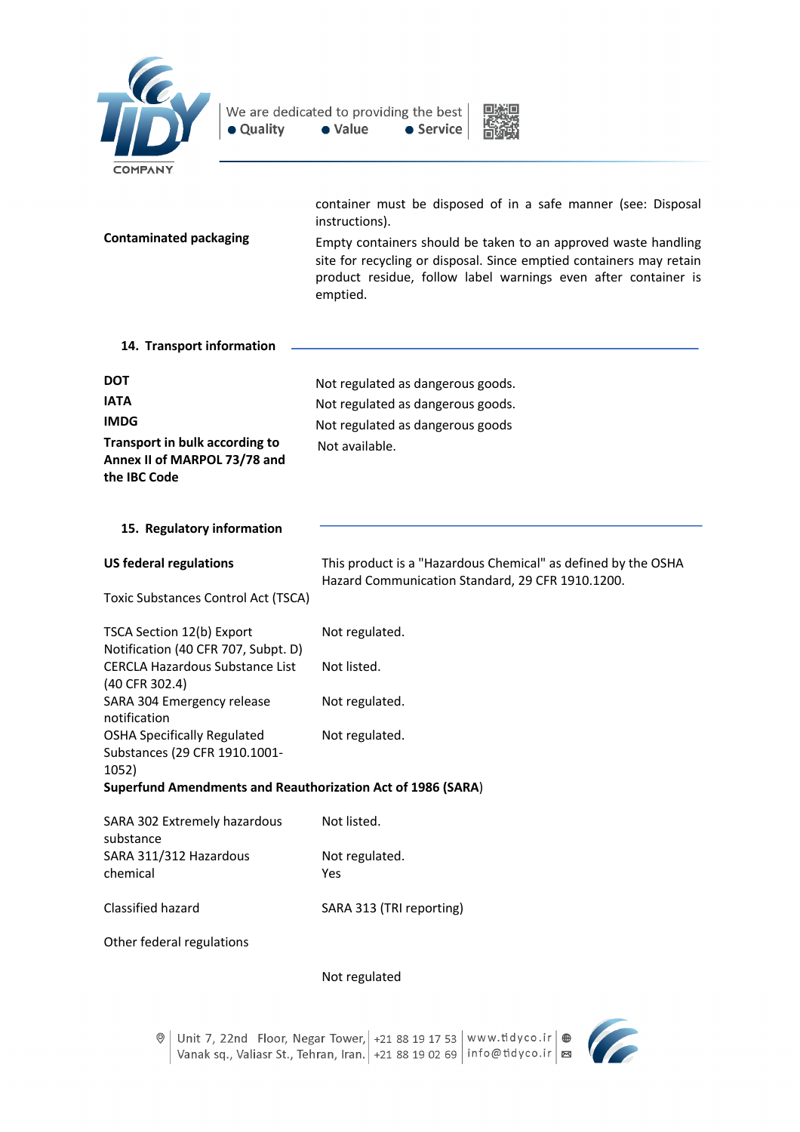



| <b>COMPANY</b>                                                                                                               |                                                                                                                                                                                                                                                                                                        |
|------------------------------------------------------------------------------------------------------------------------------|--------------------------------------------------------------------------------------------------------------------------------------------------------------------------------------------------------------------------------------------------------------------------------------------------------|
| <b>Contaminated packaging</b>                                                                                                | container must be disposed of in a safe manner (see: Disposal<br>instructions).<br>Empty containers should be taken to an approved waste handling<br>site for recycling or disposal. Since emptied containers may retain<br>product residue, follow label warnings even after container is<br>emptied. |
| 14. Transport information                                                                                                    |                                                                                                                                                                                                                                                                                                        |
| <b>DOT</b><br><b>IATA</b><br><b>IMDG</b><br>Transport in bulk according to<br>Annex II of MARPOL 73/78 and<br>the IBC Code   | Not regulated as dangerous goods.<br>Not regulated as dangerous goods.<br>Not regulated as dangerous goods<br>Not available.                                                                                                                                                                           |
| 15. Regulatory information                                                                                                   |                                                                                                                                                                                                                                                                                                        |
| <b>US federal regulations</b><br><b>Toxic Substances Control Act (TSCA)</b>                                                  | This product is a "Hazardous Chemical" as defined by the OSHA<br>Hazard Communication Standard, 29 CFR 1910.1200.                                                                                                                                                                                      |
| TSCA Section 12(b) Export<br>Notification (40 CFR 707, Subpt. D)<br><b>CERCLA Hazardous Substance List</b><br>(40 CFR 302.4) | Not regulated.<br>Not listed.                                                                                                                                                                                                                                                                          |
| SARA 304 Emergency release<br>notification<br><b>OSHA Specifically Regulated</b><br>Substances (29 CFR 1910.1001-            | Not regulated.<br>Not regulated.                                                                                                                                                                                                                                                                       |
| 1052)<br><b>Superfund Amendments and Reauthorization Act of 1986 (SARA)</b>                                                  |                                                                                                                                                                                                                                                                                                        |
| SARA 302 Extremely hazardous<br>substance<br>SARA 311/312 Hazardous                                                          | Not listed.<br>Not regulated.                                                                                                                                                                                                                                                                          |
| chemical<br>Classified hazard                                                                                                | Yes<br>SARA 313 (TRI reporting)                                                                                                                                                                                                                                                                        |
| Other federal regulations                                                                                                    |                                                                                                                                                                                                                                                                                                        |
|                                                                                                                              | Not regulated                                                                                                                                                                                                                                                                                          |

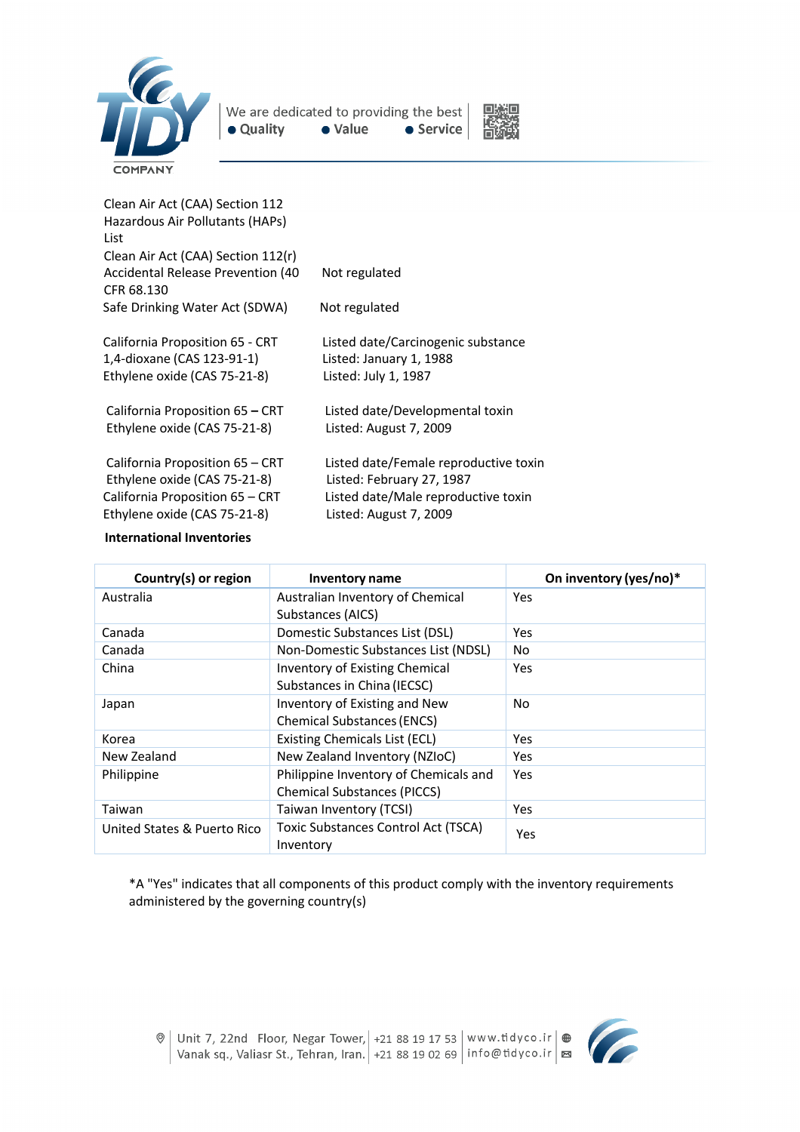



| Clean Air Act (CAA) Section 112                 |                                       |
|-------------------------------------------------|---------------------------------------|
| Hazardous Air Pollutants (HAPs)<br>List         |                                       |
| Clean Air Act (CAA) Section 112(r)              |                                       |
| Accidental Release Prevention (40<br>CFR 68.130 | Not regulated                         |
| Safe Drinking Water Act (SDWA)                  | Not regulated                         |
| California Proposition 65 - CRT                 | Listed date/Carcinogenic substance    |
| 1,4-dioxane (CAS 123-91-1)                      | Listed: January 1, 1988               |
| Ethylene oxide (CAS 75-21-8)                    | Listed: July 1, 1987                  |
| California Proposition 65 - CRT                 | Listed date/Developmental toxin       |
| Ethylene oxide (CAS 75-21-8)                    | Listed: August 7, 2009                |
| California Proposition 65 – CRT                 | Listed date/Female reproductive toxin |
| Ethylene oxide (CAS 75-21-8)                    | Listed: February 27, 1987             |
| California Proposition 65 - CRT                 | Listed date/Male reproductive toxin   |
| Ethylene oxide (CAS 75-21-8)                    | Listed: August 7, 2009                |
|                                                 |                                       |

#### **International Inventories**

| Country(s) or region        | <b>Inventory name</b>                                                       | On inventory (yes/no)* |
|-----------------------------|-----------------------------------------------------------------------------|------------------------|
| Australia                   | Australian Inventory of Chemical<br>Substances (AICS)                       | Yes                    |
| Canada                      | Domestic Substances List (DSL)                                              | Yes                    |
| Canada                      | Non-Domestic Substances List (NDSL)                                         | No                     |
| China                       | Inventory of Existing Chemical<br>Substances in China (IECSC)               | Yes                    |
| Japan                       | Inventory of Existing and New<br><b>Chemical Substances (ENCS)</b>          | No                     |
| Korea                       | Existing Chemicals List (ECL)                                               | Yes                    |
| New Zealand                 | New Zealand Inventory (NZIoC)                                               | Yes                    |
| Philippine                  | Philippine Inventory of Chemicals and<br><b>Chemical Substances (PICCS)</b> | Yes                    |
| Taiwan                      | Taiwan Inventory (TCSI)                                                     | Yes                    |
| United States & Puerto Rico | <b>Toxic Substances Control Act (TSCA)</b><br>Inventory                     | Yes                    |

\*A "Yes" indicates that all components of this product comply with the inventory requirements administered by the governing country(s)